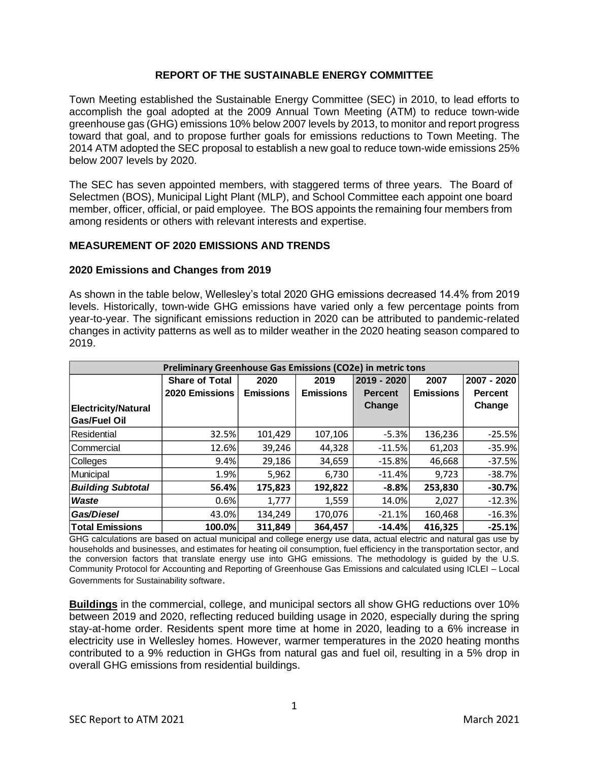## **REPORT OF THE SUSTAINABLE ENERGY COMMITTEE**

Town Meeting established the Sustainable Energy Committee (SEC) in 2010, to lead efforts to accomplish the goal adopted at the 2009 Annual Town Meeting (ATM) to reduce town-wide greenhouse gas (GHG) emissions 10% below 2007 levels by 2013, to monitor and report progress toward that goal, and to propose further goals for emissions reductions to Town Meeting. The 2014 ATM adopted the SEC proposal to establish a new goal to reduce town-wide emissions 25% below 2007 levels by 2020.

The SEC has seven appointed members, with staggered terms of three years. The Board of Selectmen (BOS), Municipal Light Plant (MLP), and School Committee each appoint one board member, officer, official, or paid employee. The BOS appoints the remaining four members from among residents or others with relevant interests and expertise.

## **MEASUREMENT OF 2020 EMISSIONS AND TRENDS**

### **2020 Emissions and Changes from 2019**

As shown in the table below, Wellesley's total 2020 GHG emissions decreased 14.4% from 2019 levels. Historically, town-wide GHG emissions have varied only a few percentage points from year-to-year. The significant emissions reduction in 2020 can be attributed to pandemic-related changes in activity patterns as well as to milder weather in the 2020 heating season compared to 2019.

| Preliminary Greenhouse Gas Emissions (CO2e) in metric tons |                       |                  |                  |                |                  |                |  |  |
|------------------------------------------------------------|-----------------------|------------------|------------------|----------------|------------------|----------------|--|--|
|                                                            | <b>Share of Total</b> | 2020             | 2019             | 2019 - 2020    | 2007             | 2007 - 2020    |  |  |
|                                                            | 2020 Emissions        | <b>Emissions</b> | <b>Emissions</b> | <b>Percent</b> | <b>Emissions</b> | <b>Percent</b> |  |  |
| <b>Electricity/Natural</b>                                 |                       |                  |                  | Change         |                  | Change         |  |  |
| <b>Gas/Fuel Oil</b>                                        |                       |                  |                  |                |                  |                |  |  |
| Residential                                                | 32.5%                 | 101,429          | 107,106          | $-5.3%$        | 136,236          | $-25.5%$       |  |  |
| Commercial                                                 | 12.6%                 | 39,246           | 44,328           | $-11.5%$       | 61,203           | $-35.9%$       |  |  |
| Colleges                                                   | 9.4%                  | 29,186           | 34,659           | $-15.8%$       | 46,668           | $-37.5%$       |  |  |
| Municipal                                                  | 1.9%                  | 5,962            | 6,730            | $-11.4%$       | 9,723            | $-38.7%$       |  |  |
| <b>Building Subtotal</b>                                   | 56.4%                 | 175,823          | 192,822          | $-8.8%$        | 253,830          | $-30.7%$       |  |  |
| Waste                                                      | 0.6%                  | 1,777            | 1,559            | 14.0%          | 2,027            | $-12.3%$       |  |  |
| Gas/Diesel                                                 | 43.0%                 | 134,249          | 170,076          | $-21.1%$       | 160,468          | $-16.3%$       |  |  |
| <b>Total Emissions</b>                                     | 100.0%                | 311,849          | 364,457          | $-14.4%$       | 416,325          | $-25.1%$       |  |  |

GHG calculations are based on actual municipal and college energy use data, actual electric and natural gas use by households and businesses, and estimates for heating oil consumption, fuel efficiency in the transportation sector, and the conversion factors that translate energy use into GHG emissions. The methodology is guided by the U.S. Community Protocol for Accounting and Reporting of Greenhouse Gas Emissions and calculated using ICLEI – Local Governments for Sustainability software.

**Buildings** in the commercial, college, and municipal sectors all show GHG reductions over 10% between 2019 and 2020, reflecting reduced building usage in 2020, especially during the spring stay-at-home order. Residents spent more time at home in 2020, leading to a 6% increase in electricity use in Wellesley homes. However, warmer temperatures in the 2020 heating months contributed to a 9% reduction in GHGs from natural gas and fuel oil, resulting in a 5% drop in overall GHG emissions from residential buildings.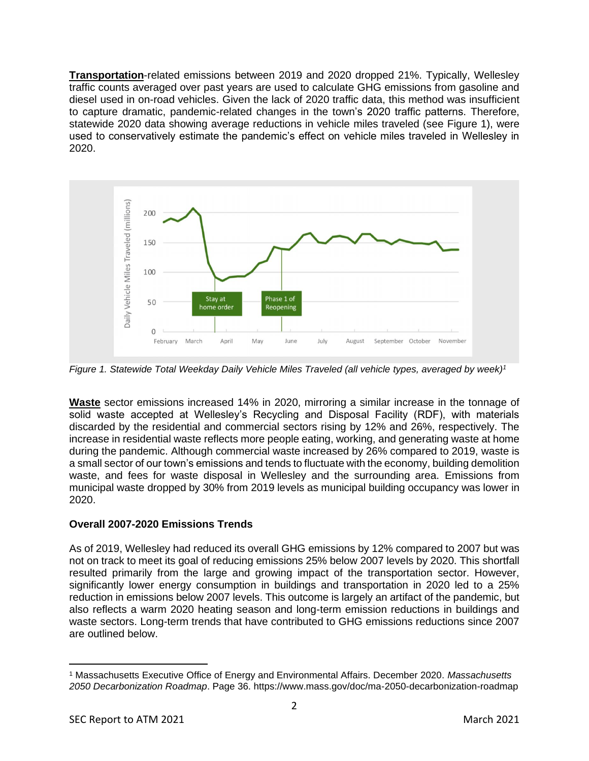**Transportation**-related emissions between 2019 and 2020 dropped 21%. Typically, Wellesley traffic counts averaged over past years are used to calculate GHG emissions from gasoline and diesel used in on-road vehicles. Given the lack of 2020 traffic data, this method was insufficient to capture dramatic, pandemic-related changes in the town's 2020 traffic patterns. Therefore, statewide 2020 data showing average reductions in vehicle miles traveled (see [Figure 1\)](#page-1-0), were used to conservatively estimate the pandemic's effect on vehicle miles traveled in Wellesley in 2020.



<span id="page-1-0"></span>*Figure 1. Statewide Total Weekday Daily Vehicle Miles Traveled (all vehicle types, averaged by week)<sup>1</sup>*

**Waste** sector emissions increased 14% in 2020, mirroring a similar increase in the tonnage of solid waste accepted at Wellesley's Recycling and Disposal Facility (RDF), with materials discarded by the residential and commercial sectors rising by 12% and 26%, respectively. The increase in residential waste reflects more people eating, working, and generating waste at home during the pandemic. Although commercial waste increased by 26% compared to 2019, waste is a small sector of our town's emissions and tends to fluctuate with the economy, building demolition waste, and fees for waste disposal in Wellesley and the surrounding area. Emissions from municipal waste dropped by 30% from 2019 levels as municipal building occupancy was lower in 2020.

# **Overall 2007-2020 Emissions Trends**

As of 2019, Wellesley had reduced its overall GHG emissions by 12% compared to 2007 but was not on track to meet its goal of reducing emissions 25% below 2007 levels by 2020. This shortfall resulted primarily from the large and growing impact of the transportation sector. However, significantly lower energy consumption in buildings and transportation in 2020 led to a 25% reduction in emissions below 2007 levels. This outcome is largely an artifact of the pandemic, but also reflects a warm 2020 heating season and long-term emission reductions in buildings and waste sectors. Long-term trends that have contributed to GHG emissions reductions since 2007 are outlined below.

<sup>1</sup> Massachusetts Executive Office of Energy and Environmental Affairs. December 2020. *Massachusetts 2050 Decarbonization Roadmap*. Page 36. https://www.mass.gov/doc/ma-2050-decarbonization-roadmap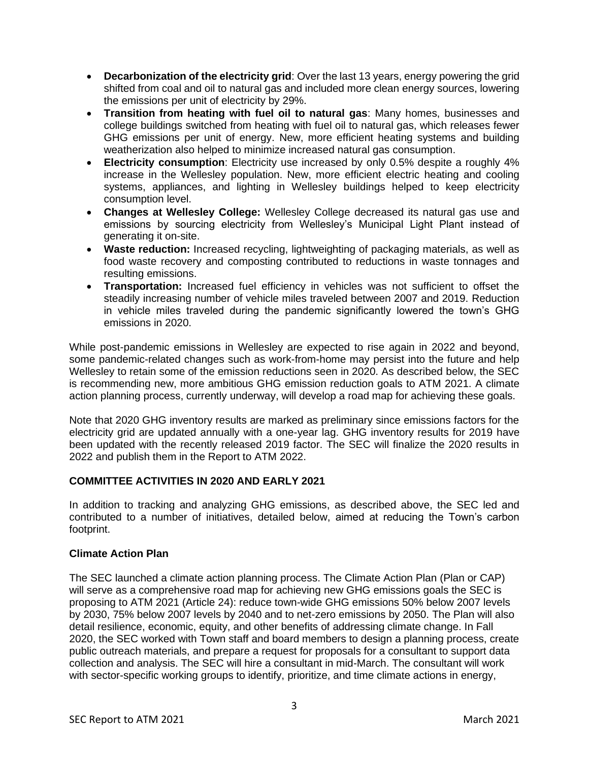- **Decarbonization of the electricity grid**: Over the last 13 years, energy powering the grid shifted from coal and oil to natural gas and included more clean energy sources, lowering the emissions per unit of electricity by 29%.
- **Transition from heating with fuel oil to natural gas**: Many homes, businesses and college buildings switched from heating with fuel oil to natural gas, which releases fewer GHG emissions per unit of energy. New, more efficient heating systems and building weatherization also helped to minimize increased natural gas consumption.
- **Electricity consumption**: Electricity use increased by only 0.5% despite a roughly 4% increase in the Wellesley population. New, more efficient electric heating and cooling systems, appliances, and lighting in Wellesley buildings helped to keep electricity consumption level.
- **Changes at Wellesley College:** Wellesley College decreased its natural gas use and emissions by sourcing electricity from Wellesley's Municipal Light Plant instead of generating it on-site.
- **Waste reduction:** Increased recycling, lightweighting of packaging materials, as well as food waste recovery and composting contributed to reductions in waste tonnages and resulting emissions.
- **Transportation:** Increased fuel efficiency in vehicles was not sufficient to offset the steadily increasing number of vehicle miles traveled between 2007 and 2019. Reduction in vehicle miles traveled during the pandemic significantly lowered the town's GHG emissions in 2020.

While post-pandemic emissions in Wellesley are expected to rise again in 2022 and beyond, some pandemic-related changes such as work-from-home may persist into the future and help Wellesley to retain some of the emission reductions seen in 2020. As described below, the SEC is recommending new, more ambitious GHG emission reduction goals to ATM 2021. A climate action planning process, currently underway, will develop a road map for achieving these goals.

Note that 2020 GHG inventory results are marked as preliminary since emissions factors for the electricity grid are updated annually with a one-year lag. GHG inventory results for 2019 have been updated with the recently released 2019 factor. The SEC will finalize the 2020 results in 2022 and publish them in the Report to ATM 2022.

# **COMMITTEE ACTIVITIES IN 2020 AND EARLY 2021**

In addition to tracking and analyzing GHG emissions, as described above, the SEC led and contributed to a number of initiatives, detailed below, aimed at reducing the Town's carbon footprint.

# **Climate Action Plan**

The SEC launched a climate action planning process. The Climate Action Plan (Plan or CAP) will serve as a comprehensive road map for achieving new GHG emissions goals the SEC is proposing to ATM 2021 (Article 24): reduce town-wide GHG emissions 50% below 2007 levels by 2030, 75% below 2007 levels by 2040 and to net-zero emissions by 2050. The Plan will also detail resilience, economic, equity, and other benefits of addressing climate change. In Fall 2020, the SEC worked with Town staff and board members to design a planning process, create public outreach materials, and prepare a request for proposals for a consultant to support data collection and analysis. The SEC will hire a consultant in mid-March. The consultant will work with sector-specific working groups to identify, prioritize, and time climate actions in energy,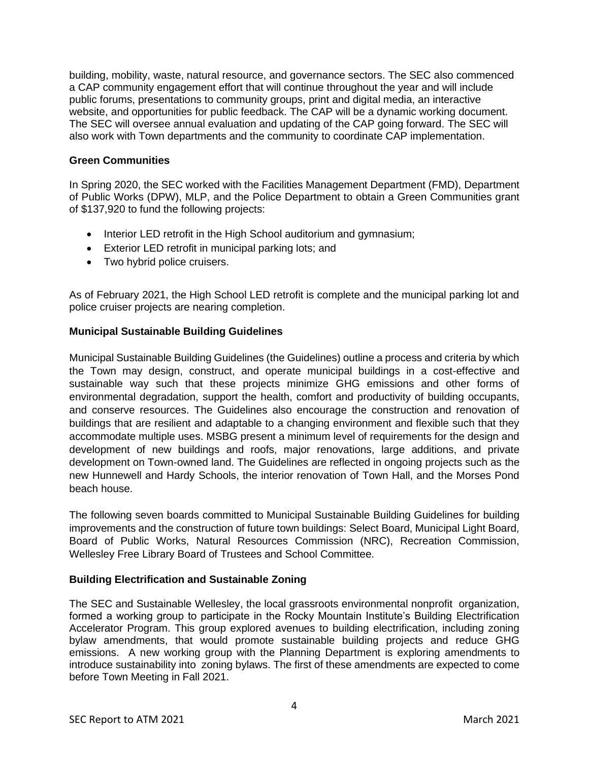building, mobility, waste, natural resource, and governance sectors. The SEC also commenced a CAP community engagement effort that will continue throughout the year and will include public forums, presentations to community groups, print and digital media, an interactive website, and opportunities for public feedback. The CAP will be a dynamic working document. The SEC will oversee annual evaluation and updating of the CAP going forward. The SEC will also work with Town departments and the community to coordinate CAP implementation.

## **Green Communities**

In Spring 2020, the SEC worked with the Facilities Management Department (FMD), Department of Public Works (DPW), MLP, and the Police Department to obtain a Green Communities grant of \$137,920 to fund the following projects:

- Interior LED retrofit in the High School auditorium and gymnasium;
- Exterior LED retrofit in municipal parking lots; and
- Two hybrid police cruisers.

As of February 2021, the High School LED retrofit is complete and the municipal parking lot and police cruiser projects are nearing completion.

# **Municipal Sustainable Building Guidelines**

Municipal Sustainable Building Guidelines (the Guidelines) outline a process and criteria by which the Town may design, construct, and operate municipal buildings in a cost-effective and sustainable way such that these projects minimize GHG emissions and other forms of environmental degradation, support the health, comfort and productivity of building occupants, and conserve resources. The Guidelines also encourage the construction and renovation of buildings that are resilient and adaptable to a changing environment and flexible such that they accommodate multiple uses. MSBG present a minimum level of requirements for the design and development of new buildings and roofs, major renovations, large additions, and private development on Town-owned land. The Guidelines are reflected in ongoing projects such as the new Hunnewell and Hardy Schools, the interior renovation of Town Hall, and the Morses Pond beach house.

The following seven boards committed to Municipal Sustainable Building Guidelines for building improvements and the construction of future town buildings: Select Board, Municipal Light Board, Board of Public Works, Natural Resources Commission (NRC), Recreation Commission, Wellesley Free Library Board of Trustees and School Committee.

# **Building Electrification and Sustainable Zoning**

The SEC and Sustainable Wellesley, the local grassroots environmental nonprofit organization, formed a working group to participate in the Rocky Mountain Institute's Building Electrification Accelerator Program. This group explored avenues to building electrification, including zoning bylaw amendments, that would promote sustainable building projects and reduce GHG emissions. A new working group with the Planning Department is exploring amendments to introduce sustainability into zoning bylaws. The first of these amendments are expected to come before Town Meeting in Fall 2021.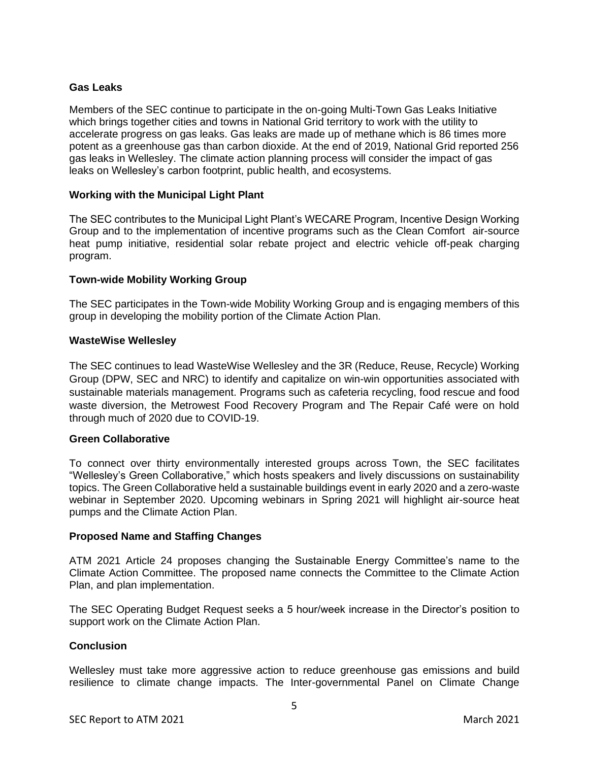# **Gas Leaks**

Members of the SEC continue to participate in the on-going Multi-Town Gas Leaks Initiative which brings together cities and towns in National Grid territory to work with the utility to accelerate progress on gas leaks. Gas leaks are made up of methane which is 86 times more potent as a greenhouse gas than carbon dioxide. At the end of 2019, National Grid reported 256 gas leaks in Wellesley. The climate action planning process will consider the impact of gas leaks on Wellesley's carbon footprint, public health, and ecosystems.

## **Working with the Municipal Light Plant**

The SEC contributes to the Municipal Light Plant's WECARE Program, Incentive Design Working Group and to the implementation of incentive programs such as the Clean Comfort air-source heat pump initiative, residential solar rebate project and electric vehicle off-peak charging program.

## **Town-wide Mobility Working Group**

The SEC participates in the Town-wide Mobility Working Group and is engaging members of this group in developing the mobility portion of the Climate Action Plan.

### **WasteWise Wellesley**

The SEC continues to lead WasteWise Wellesley and the 3R (Reduce, Reuse, Recycle) Working Group (DPW, SEC and NRC) to identify and capitalize on win-win opportunities associated with sustainable materials management. Programs such as cafeteria recycling, food rescue and food waste diversion, the Metrowest Food Recovery Program and The Repair Café were on hold through much of 2020 due to COVID-19.

### **Green Collaborative**

To connect over thirty environmentally interested groups across Town, the SEC facilitates "Wellesley's Green Collaborative," which hosts speakers and lively discussions on sustainability topics. The Green Collaborative held a sustainable buildings event in early 2020 and a zero-waste webinar in September 2020. Upcoming webinars in Spring 2021 will highlight air-source heat pumps and the Climate Action Plan.

### **Proposed Name and Staffing Changes**

ATM 2021 Article 24 proposes changing the Sustainable Energy Committee's name to the Climate Action Committee. The proposed name connects the Committee to the Climate Action Plan, and plan implementation.

The SEC Operating Budget Request seeks a 5 hour/week increase in the Director's position to support work on the Climate Action Plan.

### **Conclusion**

Wellesley must take more aggressive action to reduce greenhouse gas emissions and build resilience to climate change impacts. The Inter-governmental Panel on Climate Change